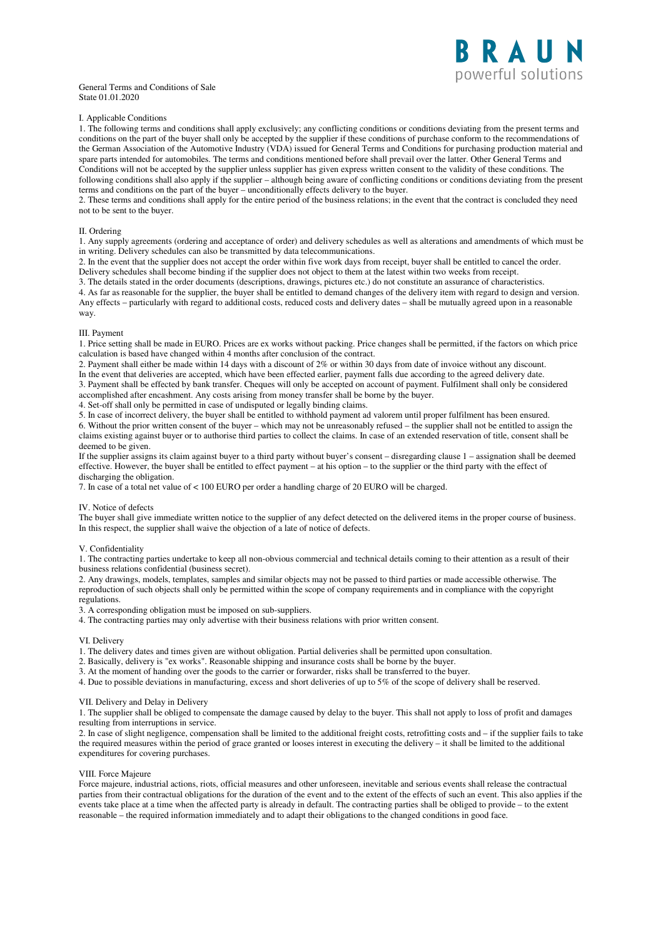### General Terms and Conditions of Sale State 01.01.2020

# I. Applicable Conditions

1. The following terms and conditions shall apply exclusively; any conflicting conditions or conditions deviating from the present terms and conditions on the part of the buyer shall only be accepted by the supplier if these conditions of purchase conform to the recommendations of the German Association of the Automotive Industry (VDA) issued for General Terms and Conditions for purchasing production material and spare parts intended for automobiles. The terms and conditions mentioned before shall prevail over the latter. Other General Terms and Conditions will not be accepted by the supplier unless supplier has given express written consent to the validity of these conditions. The following conditions shall also apply if the supplier – although being aware of conflicting conditions or conditions deviating from the present terms and conditions on the part of the buyer – unconditionally effects delivery to the buyer.

2. These terms and conditions shall apply for the entire period of the business relations; in the event that the contract is concluded they need not to be sent to the buyer.

### II. Ordering

1. Any supply agreements (ordering and acceptance of order) and delivery schedules as well as alterations and amendments of which must be in writing. Delivery schedules can also be transmitted by data telecommunications.

2. In the event that the supplier does not accept the order within five work days from receipt, buyer shall be entitled to cancel the order. Delivery schedules shall become binding if the supplier does not object to them at the latest within two weeks from receipt.

3. The details stated in the order documents (descriptions, drawings, pictures etc.) do not constitute an assurance of characteristics. 4. As far as reasonable for the supplier, the buyer shall be entitled to demand changes of the delivery item with regard to design and version. Any effects – particularly with regard to additional costs, reduced costs and delivery dates – shall be mutually agreed upon in a reasonable way.

### III. Payment

1. Price setting shall be made in EURO. Prices are ex works without packing. Price changes shall be permitted, if the factors on which price calculation is based have changed within 4 months after conclusion of the contract.

2. Payment shall either be made within 14 days with a discount of 2% or within 30 days from date of invoice without any discount.

In the event that deliveries are accepted, which have been effected earlier, payment falls due according to the agreed delivery date. 3. Payment shall be effected by bank transfer. Cheques will only be accepted on account of payment. Fulfilment shall only be considered

accomplished after encashment. Any costs arising from money transfer shall be borne by the buyer.

4. Set-off shall only be permitted in case of undisputed or legally binding claims.

5. In case of incorrect delivery, the buyer shall be entitled to withhold payment ad valorem until proper fulfilment has been ensured.

6. Without the prior written consent of the buyer – which may not be unreasonably refused – the supplier shall not be entitled to assign the claims existing against buyer or to authorise third parties to collect the claims. In case of an extended reservation of title, consent shall be deemed to be given.

If the supplier assigns its claim against buyer to a third party without buyer's consent – disregarding clause 1 – assignation shall be deemed effective. However, the buyer shall be entitled to effect payment – at his option – to the supplier or the third party with the effect of discharging the obligation.

7. In case of a total net value of < 100 EURO per order a handling charge of 20 EURO will be charged.

# IV. Notice of defects

The buyer shall give immediate written notice to the supplier of any defect detected on the delivered items in the proper course of business. In this respect, the supplier shall waive the objection of a late of notice of defects.

## V. Confidentiality

1. The contracting parties undertake to keep all non-obvious commercial and technical details coming to their attention as a result of their business relations confidential (business secret).

2. Any drawings, models, templates, samples and similar objects may not be passed to third parties or made accessible otherwise. The reproduction of such objects shall only be permitted within the scope of company requirements and in compliance with the copyright regulations.

3. A corresponding obligation must be imposed on sub-suppliers.

4. The contracting parties may only advertise with their business relations with prior written consent.

### VI. Delivery

1. The delivery dates and times given are without obligation. Partial deliveries shall be permitted upon consultation.

2. Basically, delivery is "ex works". Reasonable shipping and insurance costs shall be borne by the buyer.

3. At the moment of handing over the goods to the carrier or forwarder, risks shall be transferred to the buyer.

4. Due to possible deviations in manufacturing, excess and short deliveries of up to 5% of the scope of delivery shall be reserved.

# VII. Delivery and Delay in Delivery

1. The supplier shall be obliged to compensate the damage caused by delay to the buyer. This shall not apply to loss of profit and damages resulting from interruptions in service.

2. In case of slight negligence, compensation shall be limited to the additional freight costs, retrofitting costs and – if the supplier fails to take the required measures within the period of grace granted or looses interest in executing the delivery – it shall be limited to the additional expenditures for covering purchases.

# VIII. Force Majeure

Force majeure, industrial actions, riots, official measures and other unforeseen, inevitable and serious events shall release the contractual parties from their contractual obligations for the duration of the event and to the extent of the effects of such an event. This also applies if the events take place at a time when the affected party is already in default. The contracting parties shall be obliged to provide – to the extent reasonable – the required information immediately and to adapt their obligations to the changed conditions in good face.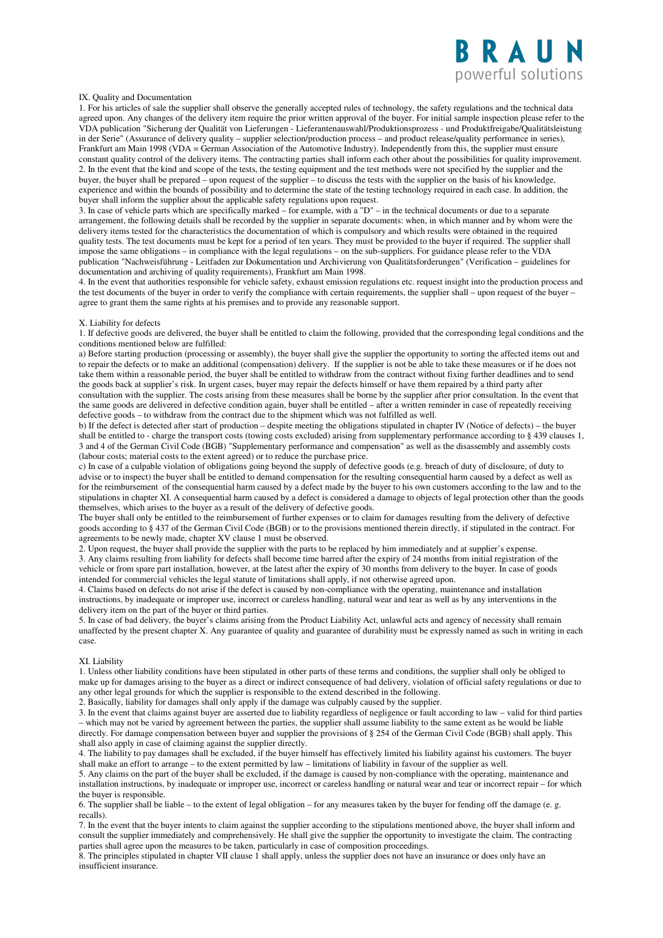

# IX. Quality and Documentation

1. For his articles of sale the supplier shall observe the generally accepted rules of technology, the safety regulations and the technical data agreed upon. Any changes of the delivery item require the prior written approval of the buyer. For initial sample inspection please refer to the VDA publication "Sicherung der Qualität von Lieferungen - Lieferantenauswahl/Produktionsprozess - und Produktfreigabe/Qualitätsleistung in der Serie" (Assurance of delivery quality – supplier selection/production process – and product release/quality performance in series), Frankfurt am Main 1998 (VDA = German Association of the Automotive Industry). Independently from this, the supplier must ensure constant quality control of the delivery items. The contracting parties shall inform each other about the possibilities for quality improvement. 2. In the event that the kind and scope of the tests, the testing equipment and the test methods were not specified by the supplier and the buyer, the buyer shall be prepared – upon request of the supplier – to discuss the tests with the supplier on the basis of his knowledge, experience and within the bounds of possibility and to determine the state of the testing technology required in each case. In addition, the buyer shall inform the supplier about the applicable safety regulations upon request.

3. In case of vehicle parts which are specifically marked – for example, with a "D" – in the technical documents or due to a separate arrangement, the following details shall be recorded by the supplier in separate documents: when, in which manner and by whom were the delivery items tested for the characteristics the documentation of which is compulsory and which results were obtained in the required quality tests. The test documents must be kept for a period of ten years. They must be provided to the buyer if required. The supplier shall impose the same obligations – in compliance with the legal regulations – on the sub-suppliers. For guidance please refer to the VDA publication "Nachweisführung - Leitfaden zur Dokumentation und Archivierung von Qualitätsforderungen" (Verification – guidelines for documentation and archiving of quality requirements), Frankfurt am Main 1998.

4. In the event that authorities responsible for vehicle safety, exhaust emission regulations etc. request insight into the production process and the test documents of the buyer in order to verify the compliance with certain requirements, the supplier shall – upon request of the buyer – agree to grant them the same rights at his premises and to provide any reasonable support.

# X. Liability for defects

1. If defective goods are delivered, the buyer shall be entitled to claim the following, provided that the corresponding legal conditions and the conditions mentioned below are fulfilled:

a) Before starting production (processing or assembly), the buyer shall give the supplier the opportunity to sorting the affected items out and to repair the defects or to make an additional (compensation) delivery. If the supplier is not be able to take these measures or if he does not take them within a reasonable period, the buyer shall be entitled to withdraw from the contract without fixing further deadlines and to send the goods back at supplier's risk. In urgent cases, buyer may repair the defects himself or have them repaired by a third party after consultation with the supplier. The costs arising from these measures shall be borne by the supplier after prior consultation. In the event that the same goods are delivered in defective condition again, buyer shall be entitled – after a written reminder in case of repeatedly receiving defective goods – to withdraw from the contract due to the shipment which was not fulfilled as well.

b) If the defect is detected after start of production – despite meeting the obligations stipulated in chapter IV (Notice of defects) – the buyer shall be entitled to - charge the transport costs (towing costs excluded) arising from supplementary performance according to § 439 clauses 1, 3 and 4 of the German Civil Code (BGB) "Supplementary performance and compensation" as well as the disassembly and assembly costs (labour costs; material costs to the extent agreed) or to reduce the purchase price.

c) In case of a culpable violation of obligations going beyond the supply of defective goods (e.g. breach of duty of disclosure, of duty to advise or to inspect) the buyer shall be entitled to demand compensation for the resulting consequential harm caused by a defect as well as for the reimbursement of the consequential harm caused by a defect made by the buyer to his own customers according to the law and to the stipulations in chapter XI. A consequential harm caused by a defect is considered a damage to objects of legal protection other than the goods themselves, which arises to the buyer as a result of the delivery of defective goods.

The buyer shall only be entitled to the reimbursement of further expenses or to claim for damages resulting from the delivery of defective goods according to § 437 of the German Civil Code (BGB) or to the provisions mentioned therein directly, if stipulated in the contract. For agreements to be newly made, chapter XV clause 1 must be observed.

2. Upon request, the buyer shall provide the supplier with the parts to be replaced by him immediately and at supplier's expense. 3. Any claims resulting from liability for defects shall become time barred after the expiry of 24 months from initial registration of the vehicle or from spare part installation, however, at the latest after the expiry of 30 months from delivery to the buyer. In case of goods intended for commercial vehicles the legal statute of limitations shall apply, if not otherwise agreed upon.

4. Claims based on defects do not arise if the defect is caused by non-compliance with the operating, maintenance and installation instructions, by inadequate or improper use, incorrect or careless handling, natural wear and tear as well as by any interventions in the delivery item on the part of the buyer or third parties.

5. In case of bad delivery, the buyer's claims arising from the Product Liability Act, unlawful acts and agency of necessity shall remain unaffected by the present chapter X. Any guarantee of quality and guarantee of durability must be expressly named as such in writing in each case.

#### XI. Liability

1. Unless other liability conditions have been stipulated in other parts of these terms and conditions, the supplier shall only be obliged to make up for damages arising to the buyer as a direct or indirect consequence of bad delivery, violation of official safety regulations or due to any other legal grounds for which the supplier is responsible to the extend described in the following.

2. Basically, liability for damages shall only apply if the damage was culpably caused by the supplier.

3. In the event that claims against buyer are asserted due to liability regardless of negligence or fault according to law – valid for third parties – which may not be varied by agreement between the parties, the supplier shall assume liability to the same extent as he would be liable directly. For damage compensation between buyer and supplier the provisions of § 254 of the German Civil Code (BGB) shall apply. This shall also apply in case of claiming against the supplier directly.

4. The liability to pay damages shall be excluded, if the buyer himself has effectively limited his liability against his customers. The buyer shall make an effort to arrange – to the extent permitted by law – limitations of liability in favour of the supplier as well.

5. Any claims on the part of the buyer shall be excluded, if the damage is caused by non-compliance with the operating, maintenance and installation instructions, by inadequate or improper use, incorrect or careless handling or natural wear and tear or incorrect repair – for which the buyer is responsible.

6. The supplier shall be liable – to the extent of legal obligation – for any measures taken by the buyer for fending off the damage (e. g. recalls).

7. In the event that the buyer intents to claim against the supplier according to the stipulations mentioned above, the buyer shall inform and consult the supplier immediately and comprehensively. He shall give the supplier the opportunity to investigate the claim. The contracting parties shall agree upon the measures to be taken, particularly in case of composition proceedings.

8. The principles stipulated in chapter VII clause 1 shall apply, unless the supplier does not have an insurance or does only have an insufficient insurance.